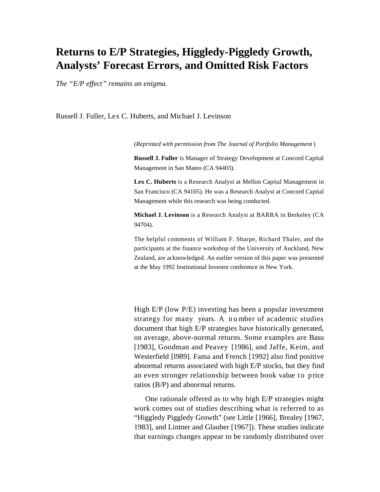# **Returns to E/P Strategies, Higgledy-Piggledy Growth, Analysts' Forecast Errors, and Omitted Risk Factors**

*The "E/P effect" remains an enigma.*

Russell J. Fuller, Lex C. Huberts, and Michael J. Levinson

(*Reprinted with permission from The Journal of Portfolio Management* )

**Russell J. Fuller** is Manager of Strategy Development at Concord Capital Management in San Mateo (CA 94403).

**Lex C. Huberts** is a Research Analyst at Mellon Capital Management in San Francisco (CA 94105). He was a Research Analyst at Concord Capital Management while this research was being conducted.

**Michael J. Levinson** is a Research Analyst at BARRA in Berkeley (CA 94704).

The helpful comments of William F. Sharpe, Richard Thaler, and the participants at the finance workshop of the University of Auckland, New Zealand, are acknowledged. An earlier version of this paper was presented at the May 1992 Institutional Investor conference in New York.

High E/P (low P/E) investing has been a popular investment strategy for many years. A n u mber of academic studies document that high E/P strategies have historically generated, on average, above-normal returns. Some examples are Basu [1983], Goodman and Peavey [1986], and Jaffe, Keim, and Westerfield [l989]. Fama and French [1992] also find positive abnormal returns associated with high E/P stocks, but they find an even stronger relationship between book value to price ratios (B/P) and abnormal returns.

One rationale offered as to why high E/P strategies might work comes out of studies describing what is referred to as "Higgledy Piggledy Growth" (see Little [1966], Brealey [1967, 1983], and Lintner and Glauber [1967]). These studies indicate that earnings changes appear to be randomly distributed over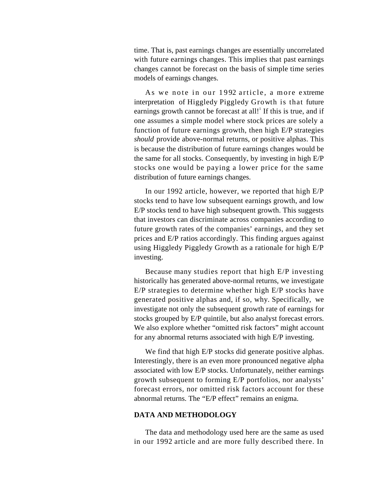time. That is, past earnings changes are essentially uncorrelated with future earnings changes. This implies that past earnings changes cannot be forecast on the basis of simple time series models of earnings changes.

As we note in our 1992 article, a more extreme interpretation of Higgledy Piggledy Growth is that future earnings growth cannot be forecast at all!<sup>1</sup> If this is true, and if one assumes a simple model where stock prices are solely a function of future earnings growth, then high E/P strategies *should* provide above-normal returns, or positive alphas. This is because the distribution of future earnings changes would be the same for all stocks. Consequently, by investing in high E/P stocks one would be paying a lower price for the same distribution of future earnings changes.

In our 1992 article, however, we reported that high E/P stocks tend to have low subsequent earnings growth, and low E/P stocks tend to have high subsequent growth. This suggests that investors can discriminate across companies according to future growth rates of the companies' earnings, and they set prices and E/P ratios accordingly. This finding argues against using Higgledy Piggledy Growth as a rationale for high E/P investing.

Because many studies report that high E/P investing historically has generated above-normal returns, we investigate E/P strategies to determine whether high E/P stocks have generated positive alphas and, if so, why. Specifically, we investigate not only the subsequent growth rate of earnings for stocks grouped by E/P quintile, but also analyst forecast errors. We also explore whether "omitted risk factors" might account for any abnormal returns associated with high E/P investing.

We find that high E/P stocks did generate positive alphas. Interestingly, there is an even more pronounced negative alpha associated with low E/P stocks. Unfortunately, neither earnings growth subsequent to forming E/P portfolios, nor analysts' forecast errors, nor omitted risk factors account for these abnormal returns. The "E/P effect" remains an enigma.

### **DATA AND METHODOLOGY**

The data and methodology used here are the same as used in our 1992 article and are more fully described there. In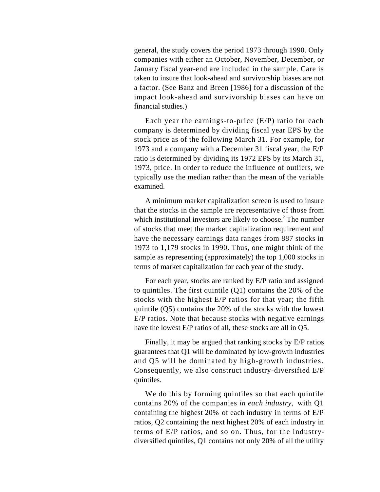general, the study covers the period 1973 through 1990. Only companies with either an October, November, December, or January fiscal year-end are included in the sample. Care is taken to insure that look-ahead and survivorship biases are not a factor. (See Banz and Breen [1986] for a discussion of the impact look-ahead and survivorship biases can have on financial studies.)

Each year the earnings-to-price (E/P) ratio for each company is determined by dividing fiscal year EPS by the stock price as of the following March 31. For example, for 1973 and a company with a December 31 fiscal year, the E/P ratio is determined by dividing its 1972 EPS by its March 31, 1973, price. In order to reduce the influence of outliers, we typically use the median rather than the mean of the variable examined.

A minimum market capitalization screen is used to insure that the stocks in the sample are representative of those from which institutional investors are likely to choose.<sup>2</sup> The number of stocks that meet the market capitalization requirement and have the necessary earnings data ranges from 887 stocks in 1973 to 1,179 stocks in 1990. Thus, one might think of the sample as representing (approximately) the top 1,000 stocks in terms of market capitalization for each year of the study.

For each year, stocks are ranked by E/P ratio and assigned to quintiles. The first quintile (Q1) contains the 20% of the stocks with the highest E/P ratios for that year; the fifth quintile (Q5) contains the 20% of the stocks with the lowest E/P ratios. Note that because stocks with negative earnings have the lowest E/P ratios of all, these stocks are all in Q5.

Finally, it may be argued that ranking stocks by E/P ratios guarantees that Q1 will be dominated by low-growth industries and Q5 will be dominated by high-growth industries. Consequently, we also construct industry-diversified E/P quintiles.

We do this by forming quintiles so that each quintile contains 20% of the companies *in each industry,* with Q1 containing the highest 20% of each industry in terms of E/P ratios, Q2 containing the next highest 20% of each industry in terms of E/P ratios, and so on. Thus, for the industrydiversified quintiles, Q1 contains not only 20% of all the utility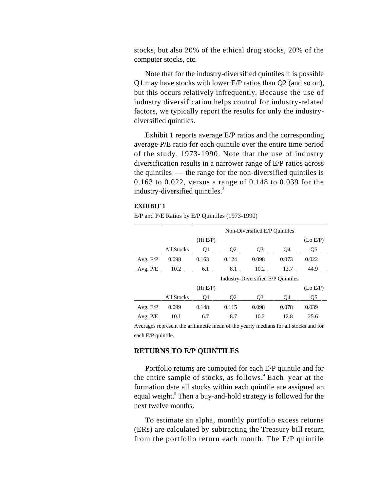stocks, but also 20% of the ethical drug stocks, 20% of the computer stocks, etc.

Note that for the industry-diversified quintiles it is possible Q1 may have stocks with lower E/P ratios than Q2 (and so on), but this occurs relatively infrequently. Because the use of industry diversification helps control for industry-related factors, we typically report the results for only the industrydiversified quintiles.

Exhibit 1 reports average E/P ratios and the corresponding average P/E ratio for each quintile over the entire time period of the study, 1973-1990. Note that the use of industry diversification results in a narrower range of E/P ratios across the quintiles — the range for the non-diversified quintiles is 0.163 to 0.022, versus a range of 0.148 to 0.039 for the industry-diversified quintiles.<sup>3</sup>

### **EXHIBIT 1**

E/P and P/E Ratios by E/P Quintiles (1973-1990)

|            |                   |          |                | Non-Diversified E/P Quintiles      |       |          |
|------------|-------------------|----------|----------------|------------------------------------|-------|----------|
|            |                   | (Hi E/P) |                |                                    |       | (Lo E/P) |
|            | <b>All Stocks</b> | Q1       | Q <sub>2</sub> | Q <sub>3</sub>                     | Q4    | Q5       |
| Avg. E/P   | 0.098             | 0.163    | 0.124          | 0.098                              | 0.073 | 0.022    |
| Avg. P/E   | 10.2              | 6.1      | 8.1            | 10.2                               | 13.7  | 44.9     |
|            |                   |          |                | Industry-Diversified E/P Quintiles |       |          |
|            |                   | (Hi E/P) |                |                                    |       | (Lo E/P) |
|            | <b>All Stocks</b> | Q1       | Q <sub>2</sub> | O <sub>3</sub>                     | O4    | Q5       |
| Avg. E/P   | 0.099             | 0.148    | 0.115          | 0.098                              | 0.078 | 0.039    |
| Avg. $P/E$ | 10.1              | 6.7      | 8.7            | 10.2                               | 12.8  | 25.6     |

Averages represent the arithmetic mean of the yearly medians for all stocks and for each E/P quintile.

### **RETURNS TO E/P QUINTILES**

Portfolio returns are computed for each E/P quintile and for the entire sample of stocks, as follows.<sup>4</sup> Each year at the formation date all stocks within each quintile are assigned an equal weight.<sup>5</sup> Then a buy-and-hold strategy is followed for the next twelve months.

To estimate an alpha, monthly portfolio excess returns (ERs) are calculated by subtracting the Treasury bill return from the portfolio return each month. The E/P quintile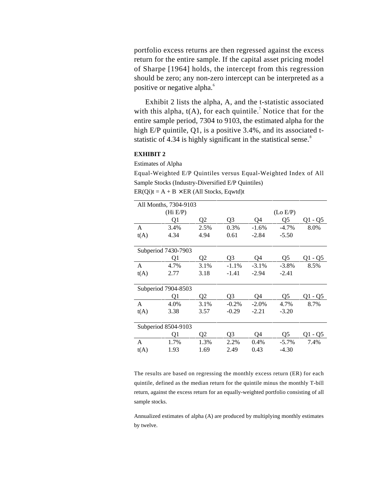portfolio excess returns are then regressed against the excess return for the entire sample. If the capital asset pricing model of Sharpe [1964] holds, the intercept from this regression should be zero; any non-zero intercept can be interpreted as a positive or negative alpha.<sup>6</sup>

Exhibit 2 lists the alpha, A, and the t-statistic associated with this alpha,  $t(A)$ , for each quintile.<sup>7</sup> Notice that for the entire sample period, 7304 to 9103, the estimated alpha for the high E/P quintile, Q1, is a positive 3.4%, and its associated tstatistic of 4.34 is highly significant in the statistical sense.<sup>8</sup>

# **EXHIBIT 2**

Estimates of Alpha

Equal-Weighted E/P Quintiles versus Equal-Weighted Index of All Sample Stocks (Industry-Diversified E/P Quintiles)  $ER(Qi)t = A + B \times ER$  (All Stocks, Eqwtd)t

|      | All Months, 7304-9103 |      |                |          |          |         |
|------|-----------------------|------|----------------|----------|----------|---------|
|      | (Hi E/P)              |      |                |          | (Lo E/P) |         |
|      | Q1                    | Q2   | Q3             | Q4       | Q5       | Q1 - Q5 |
| A    | 3.4%                  | 2.5% | 0.3%           | $-1.6%$  | $-4.7\%$ | 8.0%    |
| t(A) | 4.34                  | 4.94 | 0.61           | $-2.84$  | $-5.50$  |         |
|      | Subperiod 7430-7903   |      |                |          |          |         |
|      | Q1                    | Q2   | Q <sub>3</sub> | Q4       | Q5       | Q1 - Q5 |
| A    | 4.7%                  | 3.1% | $-1.1%$        | $-3.1\%$ | $-3.8\%$ | 8.5%    |
| t(A) | 2.77                  | 3.18 | $-1.41$        | $-2.94$  | $-2.41$  |         |
|      | Subperiod 7904-8503   |      |                |          |          |         |
|      | Q1                    | Q2   | Q3             | Q4       | Q5       | Q1 - Q5 |
| A    | 4.0%                  | 3.1% | $-0.2%$        | $-2.0%$  | 4.7%     | 8.7%    |
| t(A) | 3.38                  | 3.57 | $-0.29$        | $-2.21$  | $-3.20$  |         |
|      | Subperiod 8504-9103   |      |                |          |          |         |
|      | O1                    | Q2   | Q3             | O4       | Q5       | Q1 - Q5 |
| A    | 1.7%                  | 1.3% | 2.2%           | 0.4%     | $-5.7\%$ | 7.4%    |
| t(A) | 1.93                  | 1.69 | 2.49           | 0.43     | $-4.30$  |         |

The results are based on regressing the monthly excess return (ER) for each quintile, defined as the median return for the quintile minus the monthly T-bill return, against the excess return for an equally-weighted portfolio consisting of all sample stocks.

Annualized estimates of alpha (A) are produced by multiplying monthly estimates by twelve.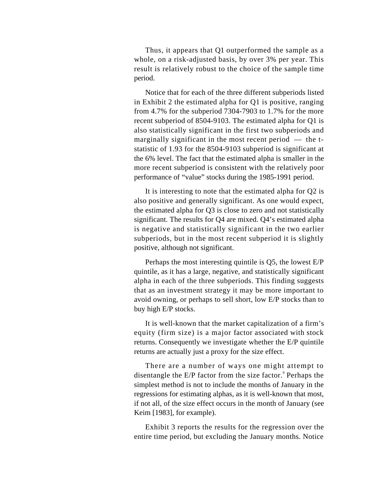Thus, it appears that Q1 outperformed the sample as a whole, on a risk-adjusted basis, by over 3% per year. This result is relatively robust to the choice of the sample time period.

Notice that for each of the three different subperiods listed in Exhibit 2 the estimated alpha for Q1 is positive, ranging from 4.7% for the subperiod 7304-7903 to 1.7% for the more recent subperiod of 8504-9103. The estimated alpha for Q1 is also statistically significant in the first two subperiods and marginally significant in the most recent period — the tstatistic of 1.93 for the 8504-9103 subperiod is significant at the 6% level. The fact that the estimated alpha is smaller in the more recent subperiod is consistent with the relatively poor performance of "value" stocks during the 1985-1991 period.

It is interesting to note that the estimated alpha for Q2 is also positive and generally significant. As one would expect, the estimated alpha for Q3 is close to zero and not statistically significant. The results for Q4 are mixed. Q4's estimated alpha is negative and statistically significant in the two earlier subperiods, but in the most recent subperiod it is slightly positive, although not significant.

Perhaps the most interesting quintile is Q5, the lowest E/P quintile, as it has a large, negative, and statistically significant alpha in each of the three subperiods. This finding suggests that as an investment strategy it may be more important to avoid owning, or perhaps to sell short, low E/P stocks than to buy high E/P stocks.

It is well-known that the market capitalization of a firm's equity (firm size) is a major factor associated with stock returns. Consequently we investigate whether the E/P quintile returns are actually just a proxy for the size effect.

There are a number of ways one might attempt to disentangle the E/P factor from the size factor.<sup>9</sup> Perhaps the simplest method is not to include the months of January in the regressions for estimating alphas, as it is well-known that most, if not all, of the size effect occurs in the month of January (see Keim [1983], for example).

Exhibit 3 reports the results for the regression over the entire time period, but excluding the January months. Notice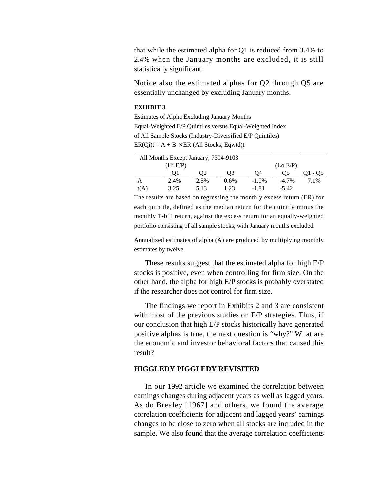that while the estimated alpha for Q1 is reduced from 3.4% to 2.4% when the January months are excluded, it is still statistically significant.

Notice also the estimated alphas for Q2 through Q5 are essentially unchanged by excluding January months.

### **EXHIBIT 3**

Estimates of Alpha Excluding January Months Equal-Weighted E/P Quintiles versus Equal-Weighted Index of All Sample Stocks (Industry-Diversified E/P Quintiles)  $ER(Qi)t = A + B \times ER$  (All Stocks, Eqwtd)t

|      | All Months Except January, 7304-9103 |      |         |          |          |      |  |  |  |
|------|--------------------------------------|------|---------|----------|----------|------|--|--|--|
|      | (Hi E/P)                             |      |         |          | (Lo E/P) |      |  |  |  |
|      |                                      | Oʻ2  | 03      | 04       | כנ       | - 05 |  |  |  |
|      | 2.4%                                 | 2.5% | $0.6\%$ | $-1.0\%$ | $-4.7\%$ | 7.1% |  |  |  |
| t(A) | 3.25                                 | 5.13 | 1.23    | $-1.81$  | $-5.42$  |      |  |  |  |

The results are based on regressing the monthly excess return (ER) for each quintile, defined as the median return for the quintile minus the monthly T-bill return, against the excess return for an equally-weighted portfolio consisting of all sample stocks, with January months excluded.

Annualized estimates of alpha (A) are produced by multiplying monthly estimates by twelve.

These results suggest that the estimated alpha for high E/P stocks is positive, even when controlling for firm size. On the other hand, the alpha for high E/P stocks is probably overstated if the researcher does not control for firm size.

The findings we report in Exhibits 2 and 3 are consistent with most of the previous studies on E/P strategies. Thus, if our conclusion that high E/P stocks historically have generated positive alphas is true, the next question is "why?" What are the economic and investor behavioral factors that caused this result?

# **HIGGLEDY PIGGLEDY REVISITED**

In our 1992 article we examined the correlation between earnings changes during adjacent years as well as lagged years. As do Brealey [1967] and others, we found the average correlation coefficients for adjacent and lagged years' earnings changes to be close to zero when all stocks are included in the sample. We also found that the average correlation coefficients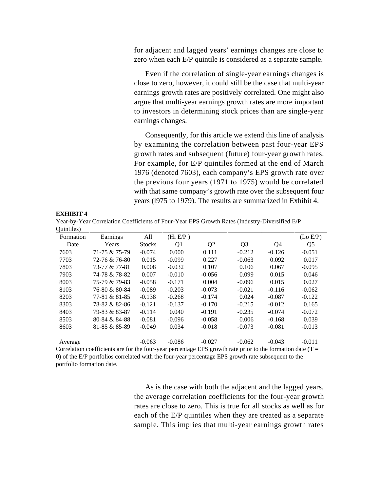for adjacent and lagged years' earnings changes are close to zero when each E/P quintile is considered as a separate sample.

Even if the correlation of single-year earnings changes is close to zero, however, it could still be the case that multi-year earnings growth rates are positively correlated. One might also argue that multi-year earnings growth rates are more important to investors in determining stock prices than are single-year earnings changes.

Consequently, for this article we extend this line of analysis by examining the correlation between past four-year EPS growth rates and subsequent (future) four-year growth rates. For example, for E/P quintiles formed at the end of March 1976 (denoted 7603), each company's EPS growth rate over the previous four years (1971 to 1975) would be correlated with that same company's growth rate over the subsequent four years (l975 to 1979). The results are summarized in Exhibit 4.

#### **EXHIBIT 4**

Year-by-Year Correlation Coefficients of Four-Year EPS Growth Rates (Industry-Diversified E/P Quintiles)

| vummoo,   |                      |               |          |                |          |          |          |
|-----------|----------------------|---------------|----------|----------------|----------|----------|----------|
| Formation | Earnings             | All           | (Hi E/P) |                |          |          | (Lo E/P) |
| Date      | Years                | <b>Stocks</b> | O1       | Q <sub>2</sub> | Q3       | Q4       | Q5       |
| 7603      | 71-75 & 75-79        | $-0.074$      | 0.000    | 0.111          | $-0.212$ | $-0.126$ | $-0.051$ |
| 7703      | 72-76 & 76-80        | 0.015         | $-0.099$ | 0.227          | $-0.063$ | 0.092    | 0.017    |
| 7803      | 73-77 & 77-81        | 0.008         | $-0.032$ | 0.107          | 0.106    | 0.067    | $-0.095$ |
| 7903      | 74-78 & 78-82        | 0.007         | $-0.010$ | $-0.056$       | 0.099    | 0.015    | 0.046    |
| 8003      | 75-79 & 79-83        | $-0.058$      | $-0.171$ | 0.004          | $-0.096$ | 0.015    | 0.027    |
| 8103      | 76-80 & 80-84        | $-0.089$      | $-0.203$ | $-0.073$       | $-0.021$ | $-0.116$ | $-0.062$ |
| 8203      | 77-81 & 81-85        | $-0.138$      | $-0.268$ | $-0.174$       | 0.024    | $-0.087$ | $-0.122$ |
| 8303      | 78-82 & 82-86        | $-0.121$      | $-0.137$ | $-0.170$       | $-0.215$ | $-0.012$ | 0.165    |
| 8403      | 79-83 & 83-87        | $-0.114$      | 0.040    | $-0.191$       | $-0.235$ | $-0.074$ | $-0.072$ |
| 8503      | 80-84 & 84-88        | $-0.081$      | $-0.096$ | $-0.058$       | 0.006    | $-0.168$ | 0.039    |
| 8603      | 81-85 & 85-89        | $-0.049$      | 0.034    | $-0.018$       | $-0.073$ | $-0.081$ | $-0.013$ |
| Average   |                      | $-0.063$      | $-0.086$ | $-0.027$       | $-0.062$ | $-0.043$ | $-0.011$ |
|           | $\sim$ $\sim$ $\sim$ |               |          | ---            |          |          |          |

Correlation coefficients are for the four-year percentage EPS growth rate prior to the formation date ( $T =$ 0) of the E/P portfolios correlated with the four-year percentage EPS growth rate subsequent to the portfolio formation date.

> As is the case with both the adjacent and the lagged years, the average correlation coefficients for the four-year growth rates are close to zero. This is true for all stocks as well as for each of the E/P quintiles when they are treated as a separate sample. This implies that multi-year earnings growth rates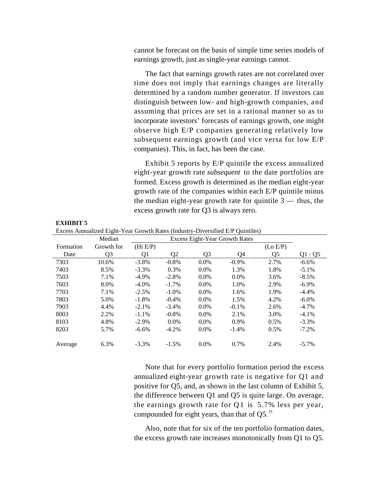cannot be forecast on the basis of simple time series models of earnings growth, just as single-year earnings cannot.

The fact that earnings growth rates are not correlated over time does not imply that earnings changes are literally determined by a random number generator. If investors can distinguish between low- and high-growth companies, and assuming that prices are set in a rational manner so as to incorporate investors' forecasts of earnings growth, one might observe high E/P companies generating relatively low subsequent earnings growth (and vice versa for low E/P companies). This, in fact, has been the case.

Exhibit 5 reports by E/P quintile the excess annualized eight-year growth rate *subsequent* to the date portfolios are formed. Excess growth is determined as the median eight-year growth rate of the companies within each E/P quintile minus the median eight-year growth rate for quintile  $3$  — thus, the excess growth rate for Q3 is always zero.

|           | Median     |          |                |         | Excess Eight-Year Growth Rates |          |           |
|-----------|------------|----------|----------------|---------|--------------------------------|----------|-----------|
| Formation | Growth for | (Hi E/P) |                |         |                                | (Lo E/P) |           |
| Date      | Q3         | Q1       | Q <sub>2</sub> | Q3      | O4                             | Q5       | $Q1 - Q5$ |
| 7303      | 10.6%      | $-3.8\%$ | $-0.8%$        | $0.0\%$ | $-0.9\%$                       | 2.7%     | $-6.6\%$  |
| 7403      | 8.5%       | $-3.3\%$ | 0.3%           | $0.0\%$ | 1.3%                           | 1.8%     | $-5.1\%$  |
| 7503      | 7.1%       | $-4.9\%$ | $-2.8%$        | $0.0\%$ | $0.0\%$                        | 3.6%     | $-8.5\%$  |
| 7603      | 8.0%       | $-4.0\%$ | $-1.7\%$       | $0.0\%$ | 1.0%                           | 2.9%     | $-6.9\%$  |
| 7703      | 7.1%       | $-2.5%$  | $-1.0\%$       | $0.0\%$ | 1.6%                           | 1.9%     | $-4.4%$   |
| 7803      | 5.0%       | $-1.8%$  | $-0.4%$        | $0.0\%$ | 1.5%                           | 4.2%     | $-6.0\%$  |
| 7903      | 4.4%       | $-2.1%$  | $-3.4%$        | $0.0\%$ | $-0.1\%$                       | 2.6%     | $-4.7\%$  |
| 8003      | 2.2%       | $-1.1\%$ | $-0.8%$        | $0.0\%$ | 2.1%                           | 3.0%     | $-4.1%$   |
| 8103      | 4.8%       | $-2.9\%$ | $0.0\%$        | $0.0\%$ | 0.9%                           | 0.5%     | $-3.3\%$  |
| 8203      | 5.7%       | $-6.6%$  | $-4.2%$        | $0.0\%$ | $-1.4%$                        | 0.5%     | $-7.2\%$  |
| Average   | 6.3%       | $-3.3\%$ | $-1.5%$        | $0.0\%$ | 0.7%                           | 2.4%     | $-5.7\%$  |

Excess Annualized Eight-Year Growth Rates (Industry-Diversified E/P Quintiles)

**EXHIBIT 5**

Note that for every portfolio formation period the excess annualized eight-year growth rate is negative for Q1 and positive for Q5, and, as shown in the last column of Exhibit 5, the difference between Q1 and Q5 is quite large. On average, the earnings growth rate for  $Q1$  is 5.7% less per year, compounded for eight years, than that of  $Q5$ .<sup>10</sup>

Also, note that for six of the ten portfolio formation dates, the excess growth rate increases monotonically from Q1 to Q5.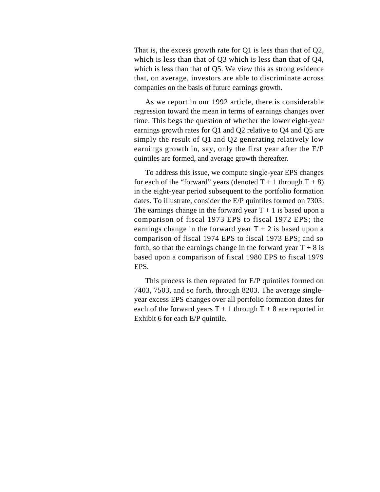That is, the excess growth rate for Q1 is less than that of Q2, which is less than that of Q3 which is less than that of Q4, which is less than that of Q5. We view this as strong evidence that, on average, investors are able to discriminate across companies on the basis of future earnings growth.

As we report in our 1992 article, there is considerable regression toward the mean in terms of earnings changes over time. This begs the question of whether the lower eight-year earnings growth rates for Q1 and Q2 relative to Q4 and Q5 are simply the result of Q1 and Q2 generating relatively low earnings growth in, say, only the first year after the E/P quintiles are formed, and average growth thereafter.

To address this issue, we compute single-year EPS changes for each of the "forward" years (denoted  $T + 1$  through  $T + 8$ ) in the eight-year period subsequent to the portfolio formation dates. To illustrate, consider the E/P quintiles formed on 7303: The earnings change in the forward year  $T + 1$  is based upon a comparison of fiscal 1973 EPS to fiscal 1972 EPS; the earnings change in the forward year  $T + 2$  is based upon a comparison of fiscal 1974 EPS to fiscal 1973 EPS; and so forth, so that the earnings change in the forward year  $T + 8$  is based upon a comparison of fiscal 1980 EPS to fiscal 1979 EPS.

This process is then repeated for E/P quintiles formed on 7403, 7503, and so forth, through 8203. The average singleyear excess EPS changes over all portfolio formation dates for each of the forward years  $T + 1$  through  $T + 8$  are reported in Exhibit 6 for each E/P quintile.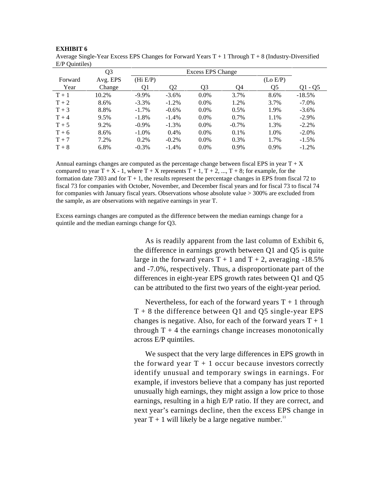| $E/P$ Ouintiles) |                |          |          |                          |          |          |           |
|------------------|----------------|----------|----------|--------------------------|----------|----------|-----------|
|                  | Q <sub>3</sub> |          |          | <b>Excess EPS Change</b> |          |          |           |
| Forward          | Avg. EPS       | (Hi E/P) |          |                          |          | (Lo E/P) |           |
| Year             | Change         | 01       | Ο2       | O3                       | O4       | O5       | $Q1 - Q5$ |
| $T+1$            | 10.2%          | $-9.9\%$ | $-3.6\%$ | $0.0\%$                  | 3.7%     | 8.6%     | $-18.5%$  |
| $T+2$            | 8.6%           | $-3.3\%$ | $-1.2%$  | $0.0\%$                  | 1.2%     | 3.7%     | $-7.0\%$  |
| $T+3$            | 8.8%           | $-1.7\%$ | $-0.6%$  | $0.0\%$                  | 0.5%     | 1.9%     | $-3.6\%$  |
| $T+4$            | 9.5%           | $-1.8\%$ | $-1.4%$  | $0.0\%$                  | 0.7%     | 1.1%     | $-2.9\%$  |
| $T + 5$          | 9.2%           | $-0.9\%$ | $-1.3%$  | $0.0\%$                  | $-0.7\%$ | 1.3%     | $-2.2\%$  |
| $T+6$            | 8.6%           | $-1.0\%$ | 0.4%     | $0.0\%$                  | 0.1%     | 1.0%     | $-2.0\%$  |
| $T + 7$          | 7.2%           | 0.2%     | $-0.2\%$ | $0.0\%$                  | 0.3%     | 1.7%     | $-1.5\%$  |
| $T+8$            | 6.8%           | $-0.3\%$ | $-1.4%$  | $0.0\%$                  | 0.9%     | 0.9%     | $-1.2\%$  |

Average Single-Year Excess EPS Changes for Forward Years  $T + 1$  Through  $T + 8$  (Industry-Diversified

**EXHIBIT 6**

Annual earnings changes are computed as the percentage change between fiscal EPS in year  $T + X$ compared to year  $T + X - 1$ , where  $T + X$  represents  $T + 1$ ,  $T + 2$ , ...,  $T + 8$ ; for example, for the formation date 7303 and for  $T + 1$ , the results represent the percentage changes in EPS from fiscal 72 to fiscal 73 for companies with October, November, and December fiscal years and for fiscal 73 to fiscal 74 for companies with January fiscal years. Observations whose absolute value > 300% are excluded from the sample, as are observations with negative earnings in year T.

Excess earnings changes are computed as the difference between the median earnings change for a quintile and the median earnings change for Q3.

> As is readily apparent from the last column of Exhibit 6, the difference in earnings growth between Q1 and Q5 is quite large in the forward years  $T + 1$  and  $T + 2$ , averaging -18.5% and -7.0%, respectively. Thus, a disproportionate part of the differences in eight-year EPS growth rates between Q1 and Q5 can be attributed to the first two years of the eight-year period.

> Nevertheless, for each of the forward years  $T + 1$  through  $T + 8$  the difference between Q1 and Q5 single-year EPS changes is negative. Also, for each of the forward years  $T + 1$ through  $T + 4$  the earnings change increases monotonically across E/P quintiles.

> We suspect that the very large differences in EPS growth in the forward year  $T + 1$  occur because investors correctly identify unusual and temporary swings in earnings. For example, if investors believe that a company has just reported unusually high earnings, they might assign a low price to those earnings, resulting in a high E/P ratio. If they are correct, and next year's earnings decline, then the excess EPS change in year T + 1 will likely be a large negative number.<sup>11</sup>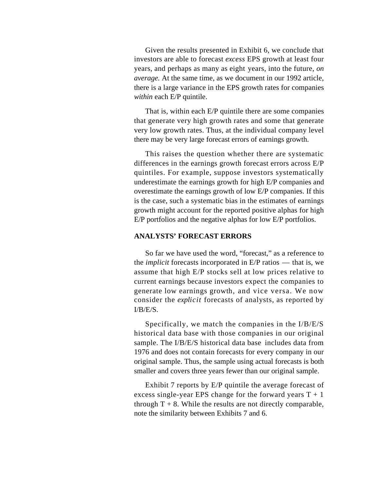Given the results presented in Exhibit 6, we conclude that investors are able to forecast *excess* EPS growth at least four years, and perhaps as many as eight years, into the future, *on average.* At the same time, as we document in our 1992 article, there is a large variance in the EPS growth rates for companies *within* each E/P quintile.

That is, within each E/P quintile there are some companies that generate very high growth rates and some that generate very low growth rates. Thus, at the individual company level there may be very large forecast errors of earnings growth.

This raises the question whether there are systematic differences in the earnings growth forecast errors across E/P quintiles. For example, suppose investors systematically underestimate the earnings growth for high E/P companies and overestimate the earnings growth of low E/P companies. If this is the case, such a systematic bias in the estimates of earnings growth might account for the reported positive alphas for high E/P portfolios and the negative alphas for low E/P portfolios.

# **ANALYSTS' FORECAST ERRORS**

So far we have used the word, "forecast," as a reference to the *implicit* forecasts incorporated in E/P ratios — that is, we assume that high E/P stocks sell at low prices relative to current earnings because investors expect the companies to generate low earnings growth, and vice versa. We now consider the *explicit* forecasts of analysts, as reported by I/B/E/S.

Specifically, we match the companies in the I/B/E/S historical data base with those companies in our original sample. The I/B/E/S historical data base includes data from 1976 and does not contain forecasts for every company in our original sample. Thus, the sample using actual forecasts is both smaller and covers three years fewer than our original sample.

Exhibit 7 reports by E/P quintile the average forecast of excess single-year EPS change for the forward years  $T + 1$ through  $T + 8$ . While the results are not directly comparable, note the similarity between Exhibits 7 and 6.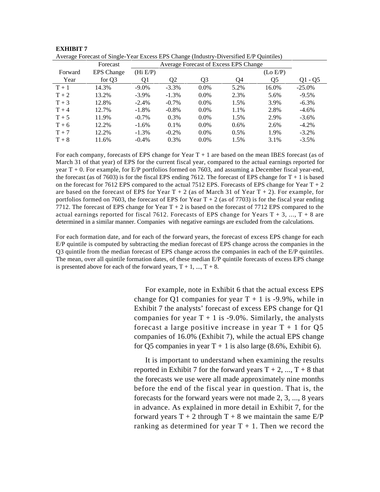|         | Average I ofceast of Bingle-Teat Excess Et B Change (Industry-Diversified E/I Quintites) |          |                |         |                                       |          |           |
|---------|------------------------------------------------------------------------------------------|----------|----------------|---------|---------------------------------------|----------|-----------|
|         | Forecast                                                                                 |          |                |         | Average Forecast of Excess EPS Change |          |           |
| Forward | <b>EPS</b> Change                                                                        | (Hi E/P) |                |         |                                       | (Lo E/P) |           |
| Year    | for Q3                                                                                   | O1       | O <sub>2</sub> | O3      | 04                                    | O5       | $Q1 - Q5$ |
| $T+1$   | 14.3%                                                                                    | $-9.0\%$ | $-3.3\%$       | $0.0\%$ | 5.2%                                  | 16.0%    | $-25.0\%$ |
| $T + 2$ | 13.2%                                                                                    | $-3.9\%$ | $-1.3%$        | $0.0\%$ | 2.3%                                  | 5.6%     | $-9.5\%$  |
| $T+3$   | 12.8%                                                                                    | $-2.4\%$ | $-0.7\%$       | $0.0\%$ | 1.5%                                  | 3.9%     | $-6.3\%$  |
| $T+4$   | 12.7%                                                                                    | $-1.8\%$ | $-0.8%$        | $0.0\%$ | 1.1%                                  | 2.8%     | $-4.6\%$  |
| $T+5$   | 11.9%                                                                                    | $-0.7\%$ | 0.3%           | $0.0\%$ | 1.5%                                  | 2.9%     | $-3.6\%$  |
| $T+6$   | 12.2%                                                                                    | $-1.6\%$ | 0.1%           | $0.0\%$ | 0.6%                                  | 2.6%     | $-4.2%$   |
| $T + 7$ | 12.2%                                                                                    | $-1.3\%$ | $-0.2\%$       | $0.0\%$ | 0.5%                                  | 1.9%     | $-3.2\%$  |
| $T+8$   | 11.6%                                                                                    | $-0.4%$  | 0.3%           | $0.0\%$ | 1.5%                                  | 3.1%     | $-3.5\%$  |

| <b>EXHIBIT 7</b>                                                                       |  |  |  |  |
|----------------------------------------------------------------------------------------|--|--|--|--|
| Average Forecast of Single-Year Excess EPS Change (Industry-Diversified E/P Quintiles) |  |  |  |  |
|                                                                                        |  |  |  |  |

For each company, forecasts of EPS change for Year  $T + 1$  are based on the mean IBES forecast (as of March 31 of that year) of EPS for the current fiscal year, compared to the actual earnings reported for year T + 0. For example, for E/P portfolios formed on 7603, and assuming a December fiscal year-end, the forecast (as of 7603) is for the fiscal EPS ending 7612. The forecast of EPS change for  $T + 1$  is based on the forecast for 7612 EPS compared to the actual 7512 EPS. Forecasts of EPS change for Year  $T + 2$ are based on the forecast of EPS for Year  $T + 2$  (as of March 31 of Year  $T + 2$ ). For example, for portfolios formed on 7603, the forecast of EPS for Year  $T + 2$  (as of 7703) is for the fiscal year ending 7712. The forecast of EPS change for Year  $T + 2$  is based on the forecast of 7712 EPS compared to the actual earnings reported for fiscal 7612. Forecasts of EPS change for Years  $T + 3$ , ...,  $T + 8$  are determined in a similar manner. Companies with negative earnings are excluded from the calculations.

For each formation date, and for each of the forward years, the forecast of excess EPS change for each E/P quintile is computed by subtracting the median forecast of EPS change across the companies in the Q3 quintile from the median forecast of EPS change across the companies in each of the E/P quintiles. The mean, over all quintile formation dates, of these median E/P quintile forecasts of excess EPS change is presented above for each of the forward years,  $T + 1$ , ...,  $T + 8$ .

> For example, note in Exhibit 6 that the actual excess EPS change for Q1 companies for year  $T + 1$  is -9.9%, while in Exhibit 7 the analysts' forecast of excess EPS change for Q1 companies for year  $T + 1$  is -9.0%. Similarly, the analysts forecast a large positive increase in year  $T + 1$  for Q5 companies of 16.0% (Exhibit 7), while the actual EPS change for Q5 companies in year  $T + 1$  is also large (8.6%, Exhibit 6).

> It is important to understand when examining the results reported in Exhibit 7 for the forward years  $T + 2$ , ...,  $T + 8$  that the forecasts we use were all made approximately nine months before the end of the fiscal year in question. That is, the forecasts for the forward years were not made 2, 3, ..., 8 years in advance. As explained in more detail in Exhibit 7, for the forward years  $T + 2$  through  $T + 8$  we maintain the same  $E/P$ ranking as determined for year  $T + 1$ . Then we record the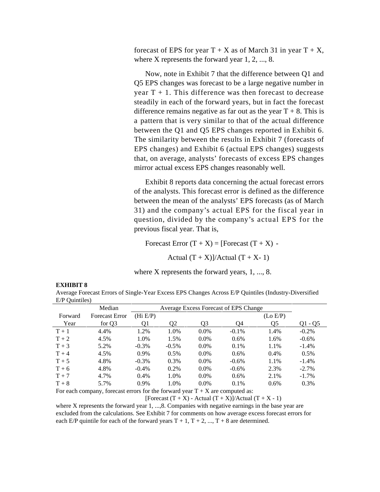forecast of EPS for year  $T + X$  as of March 31 in year  $T + X$ , where X represents the forward year 1, 2, ..., 8.

Now, note in Exhibit 7 that the difference between Q1 and Q5 EPS changes was forecast to be a large negative number in year  $T + 1$ . This difference was then forecast to decrease steadily in each of the forward years, but in fact the forecast difference remains negative as far out as the year  $T + 8$ . This is a pattern that is very similar to that of the actual difference between the Q1 and Q5 EPS changes reported in Exhibit 6. The similarity between the results in Exhibit 7 (forecasts of EPS changes) and Exhibit 6 (actual EPS changes) suggests that, on average, analysts' forecasts of excess EPS changes mirror actual excess EPS changes reasonably well.

Exhibit 8 reports data concerning the actual forecast errors of the analysts. This forecast error is defined as the difference between the mean of the analysts' EPS forecasts (as of March 31) and the company's actual EPS for the fiscal year in question, divided by the company's actual EPS for the previous fiscal year. That is,

Forecast Error  $(T + X) =$  [Forecast  $(T + X)$  -

Actual  $(T + X)/$ Actual  $(T + X - 1)$ 

where X represents the forward years, 1, ..., 8.

| $E/F$ <i>Quintiles</i> $\ell$ |                       |          |          |         |                                       |          |          |
|-------------------------------|-----------------------|----------|----------|---------|---------------------------------------|----------|----------|
|                               | Median                |          |          |         | Average Excess Forecast of EPS Change |          |          |
| Forward                       | <b>Forecast Error</b> | (Hi E/P) |          |         |                                       | (Lo E/P) |          |
| Year                          | for Q3                | 01       | O2       | O3      | Ο4                                    | O5       | Q1 - Q5  |
| $T+1$                         | 4.4%                  | 1.2%     | 1.0%     | $0.0\%$ | $-0.1\%$                              | 1.4%     | $-0.2\%$ |
| $T+2$                         | 4.5%                  | 1.0%     | 1.5%     | $0.0\%$ | $0.6\%$                               | 1.6%     | $-0.6\%$ |
| $T+3$                         | 5.2%                  | $-0.3\%$ | $-0.5\%$ | $0.0\%$ | 0.1%                                  | 1.1%     | $-1.4%$  |
| $T+4$                         | 4.5%                  | $0.9\%$  | 0.5%     | $0.0\%$ | $0.6\%$                               | 0.4%     | $0.5\%$  |
| $T+5$                         | 4.8%                  | $-0.3\%$ | 0.3%     | $0.0\%$ | $-0.6\%$                              | 1.1%     | $-1.4%$  |
| $T+6$                         | 4.8%                  | $-0.4%$  | 0.2%     | $0.0\%$ | $-0.6\%$                              | 2.3%     | $-2.7\%$ |
| $T + 7$                       | 4.7%                  | 0.4%     | 1.0%     | $0.0\%$ | $0.6\%$                               | 2.1%     | $-1.7\%$ |
| $T+8$                         | 5.7%                  | 0.9%     | 1.0%     | $0.0\%$ | 0.1%                                  | $0.6\%$  | 0.3%     |

#### **EXHIBIT 8**

Average Forecast Errors of Single-Year Excess EPS Changes Across E/P Quintiles (Industry-Diversified E/P Quintiles)

For each company, forecast errors for the forward year  $T + X$  are computed as:

[Forecast  $(T + X)$  - Actual  $(T + X)$ ]/Actual  $(T + X - 1)$ 

where X represents the forward year 1, ..., 8. Companies with negative earnings in the base year are excluded from the calculations. See Exhibit 7 for comments on how average excess forecast errors for each E/P quintile for each of the forward years  $T + 1$ ,  $T + 2$ , ...,  $T + 8$  are determined.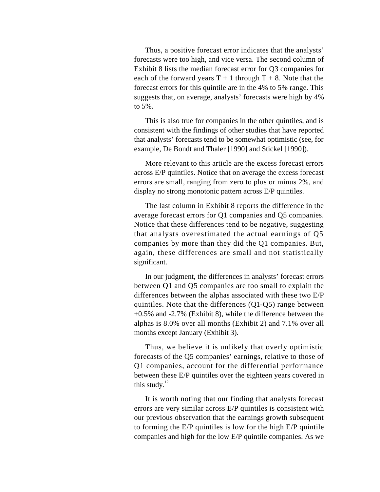Thus, a positive forecast error indicates that the analysts' forecasts were too high, and vice versa. The second column of Exhibit 8 lists the median forecast error for Q3 companies for each of the forward years  $T + 1$  through  $T + 8$ . Note that the forecast errors for this quintile are in the 4% to 5% range. This suggests that, on average, analysts' forecasts were high by 4% to 5%.

This is also true for companies in the other quintiles, and is consistent with the findings of other studies that have reported that analysts' forecasts tend to be somewhat optimistic (see, for example, De Bondt and Thaler [1990] and Stickel [1990]).

More relevant to this article are the excess forecast errors across E/P quintiles. Notice that on average the excess forecast errors are small, ranging from zero to plus or minus 2%, and display no strong monotonic pattern across E/P quintiles.

The last column in Exhibit 8 reports the difference in the average forecast errors for Q1 companies and Q5 companies. Notice that these differences tend to be negative, suggesting that analysts overestimated the actual earnings of Q5 companies by more than they did the Q1 companies. But, again, these differences are small and not statistically significant.

In our judgment, the differences in analysts' forecast errors between Q1 and Q5 companies are too small to explain the differences between the alphas associated with these two E/P quintiles. Note that the differences (Q1-Q5) range between +0.5% and -2.7% (Exhibit 8), while the difference between the alphas is 8.0% over all months (Exhibit 2) and 7.1% over all months except January (Exhibit 3).

Thus, we believe it is unlikely that overly optimistic forecasts of the Q5 companies' earnings, relative to those of Q1 companies, account for the differential performance between these E/P quintiles over the eighteen years covered in this study. $^{12}$ 

It is worth noting that our finding that analysts forecast errors are very similar across E/P quintiles is consistent with our previous observation that the earnings growth subsequent to forming the E/P quintiles is low for the high E/P quintile companies and high for the low E/P quintile companies. As we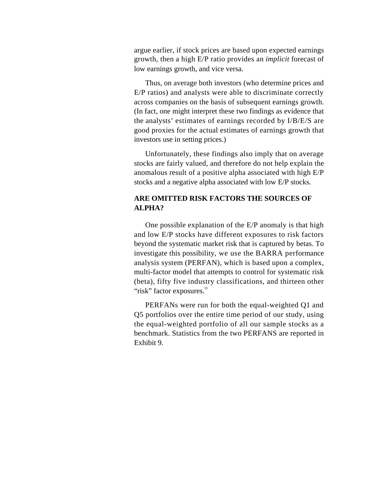argue earlier, if stock prices are based upon expected earnings growth, then a high E/P ratio provides an *implicit* forecast of low earnings growth, and vice versa.

Thus, on average both investors (who determine prices and E/P ratios) and analysts were able to discriminate correctly across companies on the basis of subsequent earnings growth. (In fact, one might interpret these two findings as evidence that the analysts' estimates of earnings recorded by I/B/E/S are good proxies for the actual estimates of earnings growth that investors use in setting prices.)

Unfortunately, these findings also imply that on average stocks are fairly valued, and therefore do not help explain the anomalous result of a positive alpha associated with high E/P stocks and a negative alpha associated with low E/P stocks.

# **ARE OMITTED RISK FACTORS THE SOURCES OF ALPHA?**

One possible explanation of the E/P anomaly is that high and low E/P stocks have different exposures to risk factors beyond the systematic market risk that is captured by betas. To investigate this possibility, we use the BARRA performance analysis system (PERFAN), which is based upon a complex, multi-factor model that attempts to control for systematic risk (beta), fifty five industry classifications, and thirteen other "risk" factor exposures.<sup>13</sup>

PERFANs were run for both the equal-weighted Q1 and Q5 portfolios over the entire time period of our study, using the equal-weighted portfolio of all our sample stocks as a benchmark. Statistics from the two PERFANS are reported in Exhibit 9.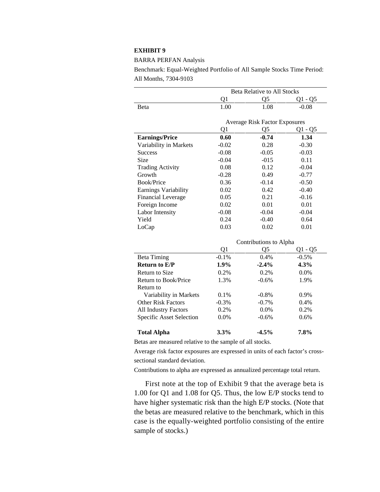### **EXHIBIT 9**

BARRA PERFAN Analysis

Benchmark: Equal-Weighted Portfolio of All Sample Stocks Time Period: All Months, 7304-9103

|                                 | <b>Beta Relative to All Stocks</b> |                                      |           |  |  |  |  |
|---------------------------------|------------------------------------|--------------------------------------|-----------|--|--|--|--|
|                                 | Q1                                 | Q5                                   | $Q1 - Q5$ |  |  |  |  |
| Beta                            | 1.00                               | 1.08                                 | $-0.08$   |  |  |  |  |
|                                 |                                    |                                      |           |  |  |  |  |
|                                 |                                    | <b>Average Risk Factor Exposures</b> |           |  |  |  |  |
|                                 | Q1                                 | Q5                                   | Q1 - Q5   |  |  |  |  |
| <b>Earnings/Price</b>           | 0.60                               | $-0.74$                              | 1.34      |  |  |  |  |
| Variability in Markets          | $-0.02$                            | 0.28                                 | $-0.30$   |  |  |  |  |
| <b>Success</b>                  | $-0.08$                            | $-0.05$                              | $-0.03$   |  |  |  |  |
| Size                            | $-0.04$                            | $-015$                               | 0.11      |  |  |  |  |
| <b>Trading Activity</b>         | 0.08                               | 0.12                                 | $-0.04$   |  |  |  |  |
| Growth                          | $-0.28$                            | 0.49                                 | $-0.77$   |  |  |  |  |
| <b>Book/Price</b>               | 0.36                               | $-0.14$                              | $-0.50$   |  |  |  |  |
| Earnings Variability            | 0.02                               | 0.42                                 | $-0.40$   |  |  |  |  |
| <b>Financial Leverage</b>       | 0.05                               | 0.21                                 | $-0.16$   |  |  |  |  |
| Foreign Income                  | 0.02                               | 0.01                                 | 0.01      |  |  |  |  |
| Labor Intensity                 | $-0.08$                            | $-0.04$                              | $-0.04$   |  |  |  |  |
| Yield                           | 0.24                               | $-0.40$                              | 0.64      |  |  |  |  |
| LoCap                           | 0.03                               | 0.02                                 | 0.01      |  |  |  |  |
|                                 |                                    | Contributions to Alpha               |           |  |  |  |  |
|                                 | Q1                                 | Q <sub>5</sub>                       | $Q1 - Q5$ |  |  |  |  |
| <b>Beta Timing</b>              | $-0.1%$                            | 0.4%                                 | $-0.5%$   |  |  |  |  |
| <b>Return to E/P</b>            | 1.9%                               | $-2.4%$                              | 4.3%      |  |  |  |  |
| <b>Return to Size</b>           | 0.2%                               | 0.2%                                 | 0.0%      |  |  |  |  |
| <b>Return to Book/Price</b>     | 1.3%                               | $-0.6%$                              | 1.9%      |  |  |  |  |
| Return to                       |                                    |                                      |           |  |  |  |  |
| Variability in Markets          | 0.1%                               | $-0.8%$                              | 0.9%      |  |  |  |  |
| <b>Other Risk Factors</b>       | $-0.3%$                            | $-0.7%$                              | 0.4%      |  |  |  |  |
| <b>All Industry Factors</b>     | 0.2%                               | 0.0%                                 | 0.2%      |  |  |  |  |
| <b>Specific Asset Selection</b> | 0.0%                               | $-0.6%$                              | 0.6%      |  |  |  |  |
|                                 |                                    |                                      |           |  |  |  |  |
| <b>Total Alpha</b>              | 3.3%                               | $-4.5%$                              | 7.8%      |  |  |  |  |

Betas are measured relative to the sample of all stocks.

Average risk factor exposures are expressed in units of each factor's crosssectional standard deviation.

Contributions to alpha are expressed as annualized percentage total return.

First note at the top of Exhibit 9 that the average beta is 1.00 for Q1 and 1.08 for Q5. Thus, the low E/P stocks tend to have higher systematic risk than the high E/P stocks. (Note that the betas are measured relative to the benchmark, which in this case is the equally-weighted portfolio consisting of the entire sample of stocks.)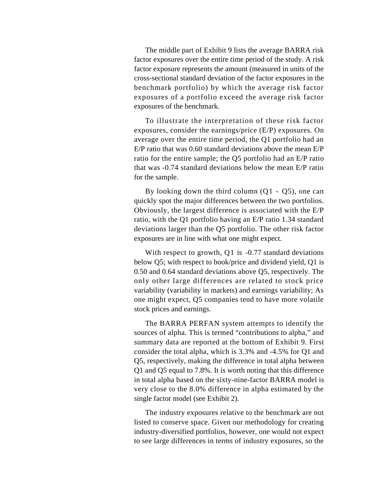The middle part of Exhibit 9 lists the average BARRA risk factor exposures over the entire time period of the study. A risk factor exposure represents the amount (measured in units of the cross-sectional standard deviation of the factor exposures in the benchmark portfolio) by which the average risk factor exposures of a portfolio exceed the average risk factor exposures of the benchmark.

To illustrate the interpretation of these risk factor exposures, consider the earnings/price (E/P) exposures. On average over the entire time period, the Q1 portfolio had an E/P ratio that was 0.60 standard deviations above the mean E/P ratio for the entire sample; the Q5 portfolio had an E/P ratio that was -0.74 standard deviations below the mean E/P ratio for the sample.

By looking down the third column  $(Q1 - Q5)$ , one can quickly spot the major differences between the two portfolios. Obviously, the largest difference is associated with the E/P ratio, with the Q1 portfolio having an E/P ratio 1.34 standard deviations larger than the Q5 portfolio. The other risk factor exposures are in line with what one might expect.

With respect to growth, Q1 is -0.77 standard deviations below Q5; with respect to book/price and dividend yield, Q1 is 0.50 and 0.64 standard deviations above Q5, respectively. The only other large differences are related to stock price variability (variability in markets) and earnings variability; As one might expect, Q5 companies tend to have more volatile stock prices and earnings.

The BARRA PERFAN system attempts to identify the sources of alpha. This is termed "contributions to alpha," and summary data are reported at the bottom of Exhibit 9. First consider the total alpha, which is 3.3% and -4.5% for Q1 and Q5, respectively, making the difference in total alpha between Q1 and Q5 equal to 7.8%. It is worth noting that this difference in total alpha based on the sixty-nine-factor BARRA model is very close to the 8.0% difference in alpha estimated by the single factor model (see Exhibit 2).

The industry exposures relative to the benchmark are not listed to conserve space. Given our methodology for creating industry-diversified portfolios, however, one would not expect to see large differences in terms of industry exposures, so the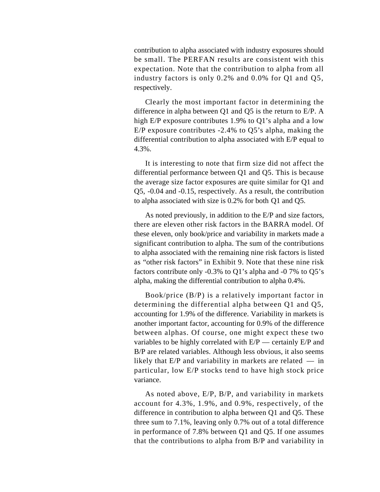contribution to alpha associated with industry exposures should be small. The PERFAN results are consistent with this expectation. Note that the contribution to alpha from all industry factors is only 0.2% and 0.0% for Q1 and Q5, respectively.

Clearly the most important factor in determining the difference in alpha between Q1 and Q5 is the return to E/P. A high E/P exposure contributes 1.9% to Q1's alpha and a low E/P exposure contributes -2.4% to Q5's alpha, making the differential contribution to alpha associated with E/P equal to 4.3%.

It is interesting to note that firm size did not affect the differential performance between Q1 and Q5. This is because the average size factor exposures are quite similar for Q1 and Q5, -0.04 and -0.15, respectively. As a result, the contribution to alpha associated with size is 0.2% for both Q1 and Q5.

As noted previously, in addition to the E/P and size factors, there are eleven other risk factors in the BARRA model. Of these eleven, only book/price and variability in markets made a significant contribution to alpha. The sum of the contributions to alpha associated with the remaining nine risk factors is listed as "other risk factors" in Exhibit 9. Note that these nine risk factors contribute only -0.3% to Q1's alpha and -0 7% to Q5's alpha, making the differential contribution to alpha 0.4%.

Book/price (B/P) is a relatively important factor in determining the differential alpha between Q1 and Q5, accounting for 1.9% of the difference. Variability in markets is another important factor, accounting for 0.9% of the difference between alphas. Of course, one might expect these two variables to be highly correlated with  $E/P$  — certainly  $E/P$  and B/P are related variables. Although less obvious, it also seems likely that  $E/P$  and variability in markets are related  $-$  in particular, low E/P stocks tend to have high stock price variance.

As noted above, E/P, B/P, and variability in markets account for 4.3%, 1.9%, and 0.9%, respectively, of the difference in contribution to alpha between Q1 and Q5. These three sum to 7.1%, leaving only 0.7% out of a total difference in performance of 7.8% between Q1 and Q5. If one assumes that the contributions to alpha from B/P and variability in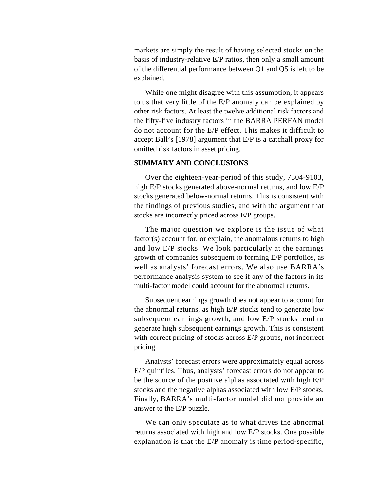markets are simply the result of having selected stocks on the basis of industry-relative E/P ratios, then only a small amount of the differential performance between Q1 and Q5 is left to be explained.

While one might disagree with this assumption, it appears to us that very little of the E/P anomaly can be explained by other risk factors. At least the twelve additional risk factors and the fifty-five industry factors in the BARRA PERFAN model do not account for the E/P effect. This makes it difficult to accept Ball's [1978] argument that E/P is a catchall proxy for omitted risk factors in asset pricing.

### **SUMMARY AND CONCLUSIONS**

Over the eighteen-year-period of this study, 7304-9103, high E/P stocks generated above-normal returns, and low E/P stocks generated below-normal returns. This is consistent with the findings of previous studies, and with the argument that stocks are incorrectly priced across E/P groups.

The major question we explore is the issue of what factor(s) account for, or explain, the anomalous returns to high and low E/P stocks. We look particularly at the earnings growth of companies subsequent to forming E/P portfolios, as well as analysts' forecast errors. We also use BARRA's performance analysis system to see if any of the factors in its multi-factor model could account for the abnormal returns.

Subsequent earnings growth does not appear to account for the abnormal returns, as high E/P stocks tend to generate low subsequent earnings growth, and low E/P stocks tend to generate high subsequent earnings growth. This is consistent with correct pricing of stocks across E/P groups, not incorrect pricing.

Analysts' forecast errors were approximately equal across E/P quintiles. Thus, analysts' forecast errors do not appear to be the source of the positive alphas associated with high E/P stocks and the negative alphas associated with low E/P stocks. Finally, BARRA's multi-factor model did not provide an answer to the E/P puzzle.

We can only speculate as to what drives the abnormal returns associated with high and low E/P stocks. One possible explanation is that the E/P anomaly is time period-specific,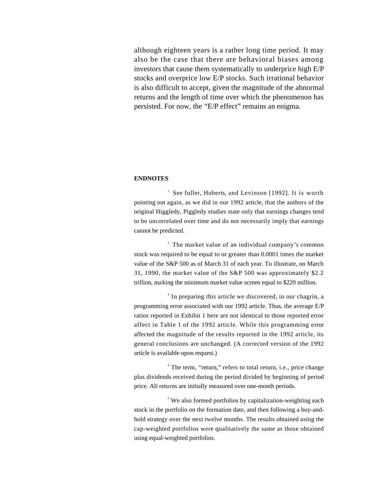although eighteen years is a rather long time period. It may also be the case that there are behavioral biases among investors that cause them systematically to underprice high E/P stocks and overprice low E/P stocks. Such irrational behavior is also difficult to accept, given the magnitude of the abnormal returns and the length of time over which the phenomenon has persisted. For now, the "E/P effect" remains an enigma.

#### **ENDNOTES**

<sup>1</sup> See fuller, Huberts, and Levinson [1992]. It is worth pointing out again, as we did in our 1992 article, that the authors of the original Higgledy, Piggledy studies state only that earnings changes tend to be uncorrelated over time and do not necessarily imply that earnings cannot be predicted.

<sup>2</sup> The market value of an individual company's common stock was required to be equal to or greater than 0.0001 times the market value of the S&P 500 as of March 31 of each year. To illustrate, on March 31, 1990, the market value of the S&P 500 was approximately \$2.2 trillion, making the minimum market value screen equal to \$220 million.

<sup>3</sup> In preparing this article we discovered, to our chagrin, a programming error associated with our 1992 article. Thus, the average E/P ratios reported in Exhibit 1 here are not identical to those reported error affect in Table 1 of the 1992 article. While this programming error affected the magnitude of the results reported in the 1992 article, its general conclusions are unchanged. (A corrected version of the 1992 article is available upon request.)

<sup>4</sup> The term, "return," refers to total return, i.e., price change plus dividends received during the period divided by beginning of period price. All returns are initially measured over one-month periods.

<sup>5</sup> We also formed portfolios by capitalization-weighting each stock in the portfolio on the formation date, and then following a buy-andhold strategy over the next twelve months. The results obtained using the cap-weighted portfolios were qualitatively the same as those obtained using equal-weighted portfolios.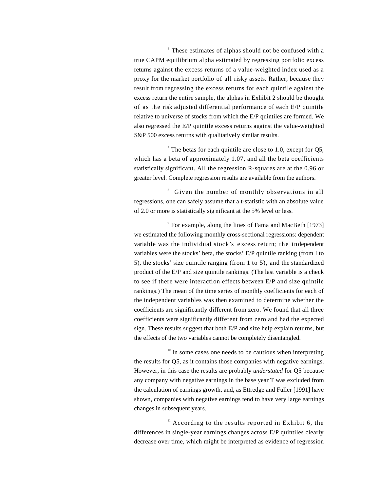6 These estimates of alphas should not be confused with a true CAPM equilibrium alpha estimated by regressing portfolio excess returns against the excess returns of a value-weighted index used as a proxy for the market portfolio of all risky assets. Rather, because they result from regressing the excess returns for each quintile against the excess return the entire sample, the alphas in Exhibit 2 should be thought of as the risk adjusted differential performance of each E/P quintile relative to universe of stocks from which the E/P quintiles are formed. We also regressed the E/P quintile excess returns against the value-weighted S&P 500 excess returns with qualitatively similar results.

The betas for each quintile are close to 1.0, except for  $Q5$ , which has a beta of approximately 1.07, and all the beta coefficients statistically significant. All the regression R-squares are at the 0.96 or greater level. Complete regression results are available from the authors.

<sup>8</sup> Given the number of monthly observations in all regressions, one can safely assume that a t-statistic with an absolute value of 2.0 or more is statistically sig nificant at the 5% level or less.

9 For example, along the lines of Fama and MacBeth [1973] we estimated the following monthly cross-sectional regressions: dependent variable was the individual stock's excess return; the independent variables were the stocks' beta, the stocks' E/P quintile ranking (from I to 5), the stocks' size quintile ranging (from 1 to 5), and the standardized product of the E/P and size quintile rankings. (The last variable is a check to see if there were interaction effects between E/P and size quintile rankings.) The mean of the time series of monthly coefficients for each of the independent variables was then examined to determine whether the coefficients are significantly different from zero. We found that all three coefficients were significantly different from zero and had the expected sign. These results suggest that both E/P and size help explain returns, but the effects of the two variables cannot be completely disentangled.

 $10<sup>10</sup>$  In some cases one needs to be cautious when interpreting the results for Q5, as it contains those companies with negative earnings. However, in this case the results are probably *understated* for Q5 because any company with negative earnings in the base year T was excluded from the calculation of earnings growth, and, as Ettredge and Fuller [1991] have shown, companies with negative earnings tend to have very large earnings changes in subsequent years.

 $\mu$ <sup>11</sup> According to the results reported in Exhibit 6, the differences in single-year earnings changes across E/P quintiles clearly decrease over time, which might be interpreted as evidence of regression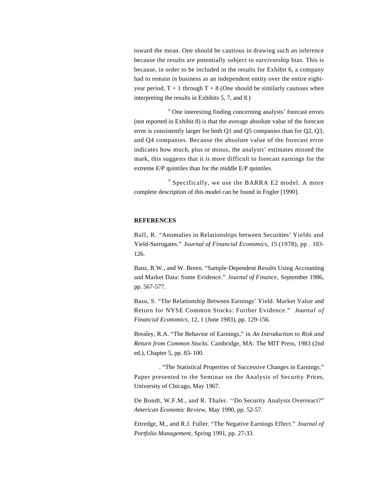toward the mean. One should be cautious in drawing such an inference because the results are potentially subject to survivorship bias. This is because, in order to be included in the results for Exhibit 6, a company had to remain in business as an independent entity over the entire eightyear period,  $T + 1$  through  $T + 8$  (One should be similarly cautious when interpreting the results in Exhibits 5, 7, and 8.)

 $12$  One interesting finding concerning analysts' forecast errors (not reported in Exhibit 8) is that the average absolute value of the forecast error is consistently larger for both Q1 and Q5 companies than for Q2, Q3, and Q4 companies. Because the absolute value of the forecast error indicates how much, plus or minus, the analysts' estimates missed the mark, this suggests that it is more difficult to forecast earnings for the extreme E/P quintiles than for the middle E/P quintiles.

 $13$  Specifically, we use the BARRA E2 model. A more complete description of this model can be found in Fogler [1990].

#### **REFERENCES**

Ball, R. "Anomalies in Relationships between Securities' Yields and Yield-Surrogates." *Journal of Financial Economics,* 15 (1978), pp . 103- 126.

Banz, R.W., and W. Breen. "Sample-Dependent Results Using Accounting and Market Data: Some Evidence." *Journal of Finance*, September 1986, pp. 567-577.

Basu, S. "The Relationship Between Earnings' Yield. Market Value and Return for NYSE Common Stocks: Further Evidence." *Journal of Financial Economics*, 12, 1 (June 1983), pp. 129-156.

Brealey, R.A. "The Behavior of Earnings," in *An Introduction to Risk and Return from Common Stocks.* Cambridge, MA: The MIT Press, 1983 (2nd ed.), Chapter 5, pp. 83- 100.

. "The Statistical Properties of Successive Changes in Earnings." Paper presented to the Seminar on the Analysis of Security Prices, University of Chicago, May 1967.

De Bondt, W.F.M., and R. Thaler. ''Do Security Analysts Overreact?" *American Economic Review,* May 1990, pp. 52-57.

Ettredge, M., and R.J. Fuller. "The Negative Earnings Effect." *Journal of Portfolio Management*, Spring 1991, pp. 27-33.